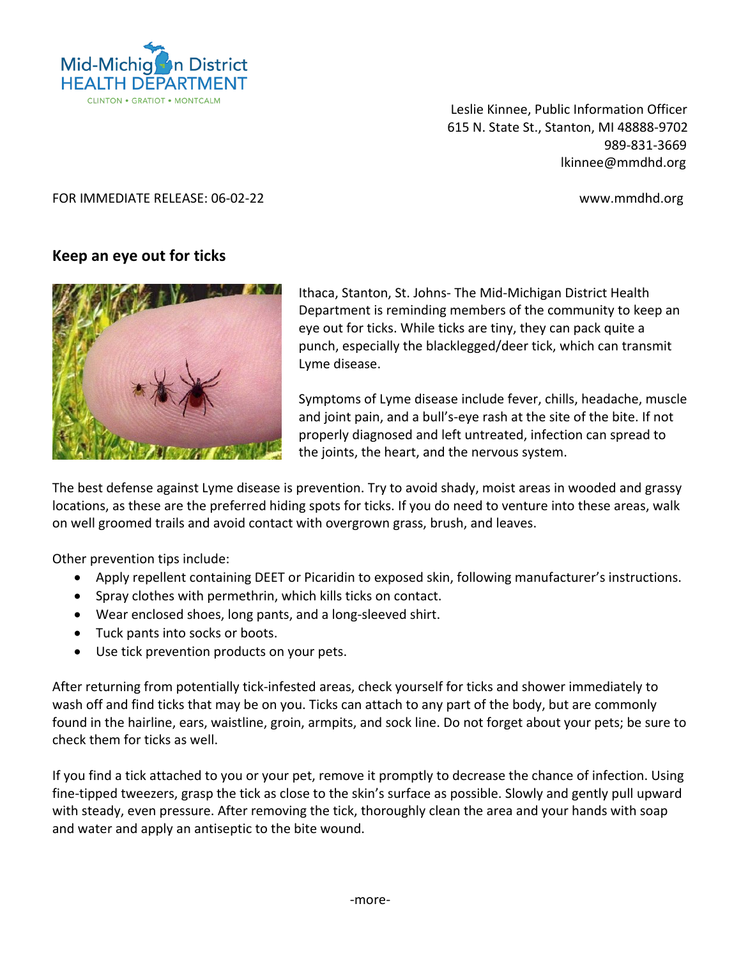

Leslie Kinnee, Public Information Officer 615 N. State St., Stanton, MI 48888-9702 989-831-3669 lkinnee@mmdhd.org

## FOR IMMEDIATE RELEASE: 06-02-22 www.mmdhd.org

## **Keep an eye out for ticks**



Ithaca, Stanton, St. Johns- The Mid-Michigan District Health Department is reminding members of the community to keep an eye out for ticks. While ticks are tiny, they can pack quite a punch, especially the blacklegged/deer tick, which can transmit Lyme disease.

Symptoms of Lyme disease include fever, chills, headache, muscle and joint pain, and a bull's-eye rash at the site of the bite. If not properly diagnosed and left untreated, infection can spread to the joints, the heart, and the nervous system.

The best defense against Lyme disease is prevention. Try to avoid shady, moist areas in wooded and grassy locations, as these are the preferred hiding spots for ticks. If you do need to venture into these areas, walk on well groomed trails and avoid contact with overgrown grass, brush, and leaves.

Other prevention tips include:

- Apply repellent containing DEET or Picaridin to exposed skin, following manufacturer's instructions.
- Spray clothes with permethrin, which kills ticks on contact.
- Wear enclosed shoes, long pants, and a long-sleeved shirt.
- Tuck pants into socks or boots.
- Use tick prevention products on your pets.

After returning from potentially tick-infested areas, check yourself for ticks and shower immediately to wash off and find ticks that may be on you. Ticks can attach to any part of the body, but are commonly found in the hairline, ears, waistline, groin, armpits, and sock line. Do not forget about your pets; be sure to check them for ticks as well.

If you find a tick attached to you or your pet, remove it promptly to decrease the chance of infection. Using fine-tipped tweezers, grasp the tick as close to the skin's surface as possible. Slowly and gently pull upward with steady, even pressure. After removing the tick, thoroughly clean the area and your hands with soap and water and apply an antiseptic to the bite wound.